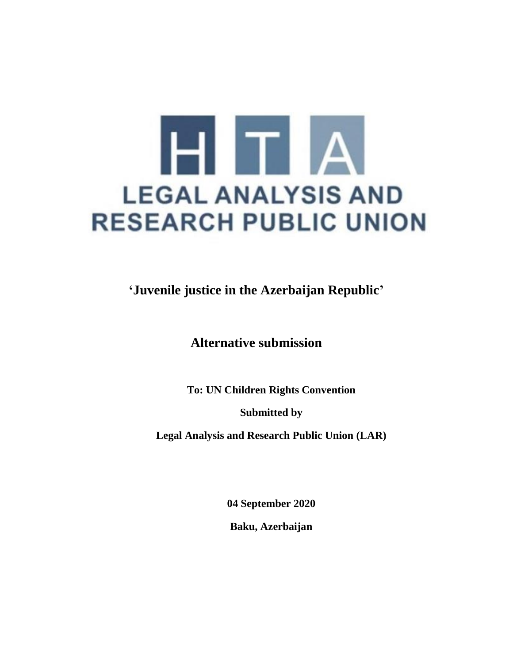

**'Juvenile justice in the Azerbaijan Republic'**

**Alternative submission**

**To: UN Children Rights Convention**

**Submitted by** 

**Legal Analysis and Research Public Union (LAR)**

**04 September 2020**

**Baku, Azerbaijan**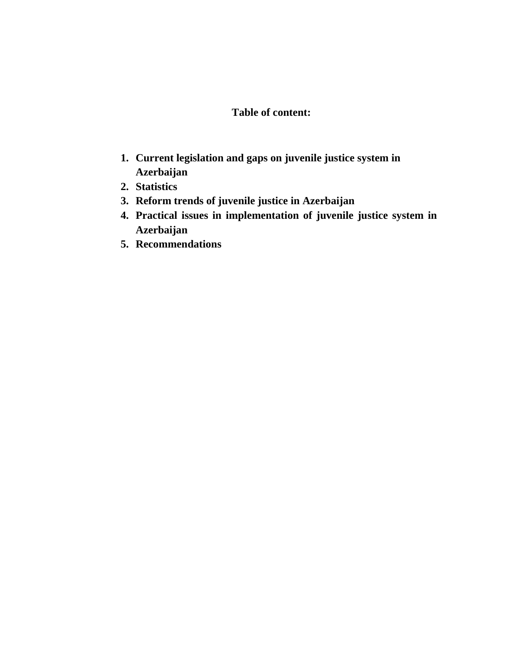## **Table of content:**

- **1. Current legislation and gaps on juvenile justice system in Azerbaijan**
- **2. Statistics**
- **3. Reform trends of juvenile justice in Azerbaijan**
- **4. Practical issues in implementation of juvenile justice system in Azerbaijan**
- **5. Recommendations**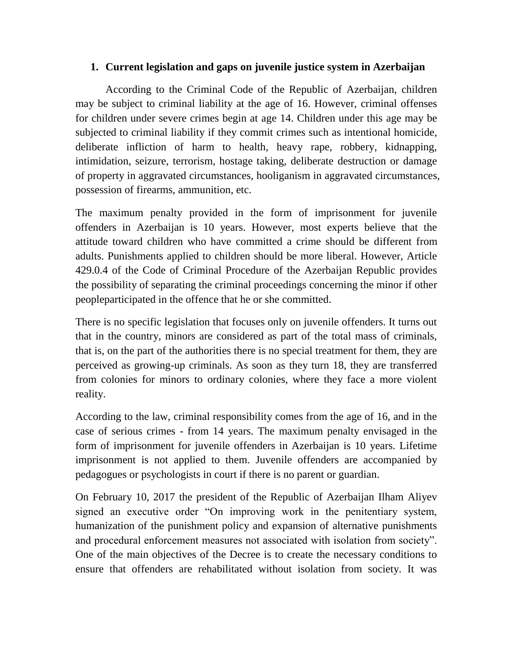## **1. Current legislation and gaps on juvenile justice system in Azerbaijan**

According to the Criminal Code of the Republic of Azerbaijan, children may be subject to criminal liability at the age of 16. However, criminal offenses for children under severe crimes begin at age 14. Children under this age may be subjected to criminal liability if they commit crimes such as intentional homicide, deliberate infliction of harm to health, heavy rape, robbery, kidnapping, intimidation, seizure, terrorism, hostage taking, deliberate destruction or damage of property in aggravated circumstances, hooliganism in aggravated circumstances, possession of firearms, ammunition, etc.

The maximum penalty provided in the form of imprisonment for juvenile offenders in Azerbaijan is 10 years. However, most experts believe that the attitude toward children who have committed a crime should be different from adults. Punishments applied to children should be more liberal. However, Article 429.0.4 of the Code of Criminal Procedure of the Azerbaijan Republic provides the possibility of separating the criminal proceedings concerning the minor if other peopleparticipated in the offence that he or she committed.

There is no specific legislation that focuses only on juvenile offenders. It turns out that in the country, minors are considered as part of the total mass of criminals, that is, on the part of the authorities there is no special treatment for them, they are perceived as growing-up criminals. As soon as they turn 18, they are transferred from colonies for minors to ordinary colonies, where they face a more violent reality.

According to the law, criminal responsibility comes from the age of 16, and in the case of serious crimes - from 14 years. The maximum penalty envisaged in the form of imprisonment for juvenile offenders in Azerbaijan is 10 years. Lifetime imprisonment is not applied to them. Juvenile offenders are accompanied by pedagogues or psychologists in court if there is no parent or guardian.

On February 10, 2017 the president of the Republic of Azerbaijan Ilham Aliyev signed an executive order "On improving work in the penitentiary system, humanization of the punishment policy and expansion of alternative punishments and procedural enforcement measures not associated with isolation from society". One of the main objectives of the Decree is to create the necessary conditions to ensure that offenders are rehabilitated without isolation from society. It was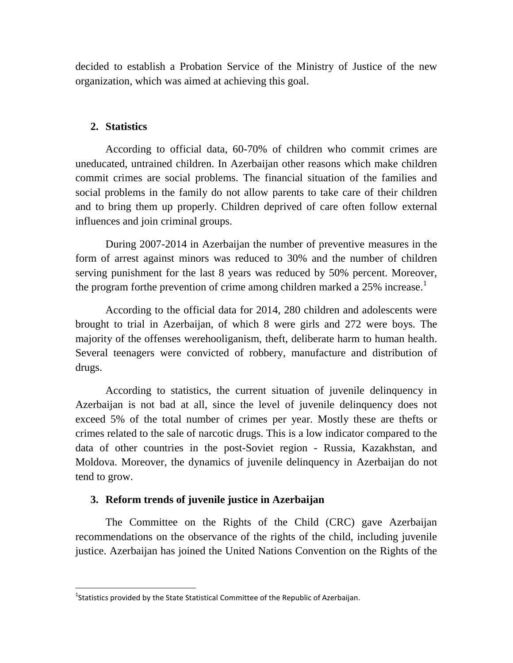decided to establish a Probation Service of the Ministry of Justice of the new organization, which was aimed at achieving this goal.

### **2. Statistics**

 $\overline{\phantom{a}}$ 

According to official data, 60-70% of children who commit crimes are uneducated, untrained children. In Azerbaijan other reasons which make children commit crimes are social problems. The financial situation of the families and social problems in the family do not allow parents to take care of their children and to bring them up properly. Children deprived of care often follow external influences and join criminal groups.

During 2007-2014 in Azerbaijan the number of preventive measures in the form of arrest against minors was reduced to 30% and the number of children serving punishment for the last 8 years was reduced by 50% percent. Moreover, the program forthe prevention of crime among children marked a  $25\%$  increase.<sup>1</sup>

According to the official data for 2014, 280 children and adolescents were brought to trial in Azerbaijan, of which 8 were girls and 272 were boys. The majority of the offenses werehooliganism, theft, deliberate harm to human health. Several teenagers were convicted of robbery, manufacture and distribution of drugs.

According to statistics, the current situation of juvenile delinquency in Azerbaijan is not bad at all, since the level of juvenile delinquency does not exceed 5% of the total number of crimes per year. Mostly these are thefts or crimes related to the sale of narcotic drugs. This is a low indicator compared to the data of other countries in the post-Soviet region - Russia, Kazakhstan, and Moldova. Moreover, the dynamics of juvenile delinquency in Azerbaijan do not tend to grow.

#### **3. Reform trends of juvenile justice in Azerbaijan**

The Committee on the Rights of the Child (CRC) gave Azerbaijan recommendations on the observance of the rights of the child, including juvenile justice. Azerbaijan has joined the United Nations Convention on the Rights of the

 $^1$ Statistics provided by the State Statistical Committee of the Republic of Azerbaijan.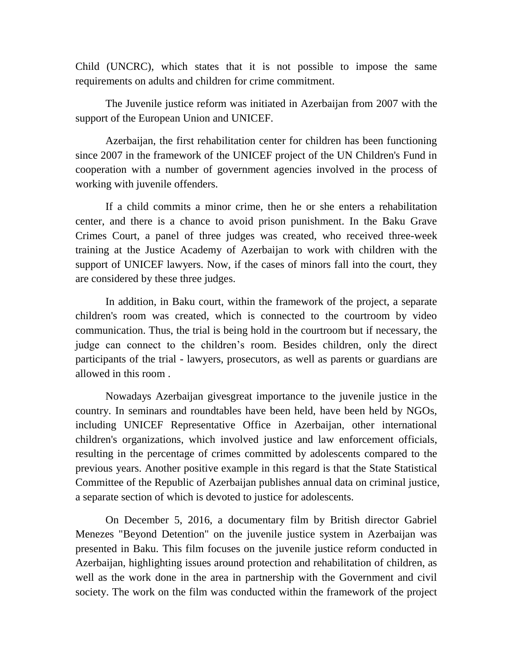Child (UNCRC), which states that it is not possible to impose the same requirements on adults and children for crime commitment.

The Juvenile justice reform was initiated in Azerbaijan from 2007 with the support of the European Union and UNICEF.

Azerbaijan, the first rehabilitation center for children has been functioning since 2007 in the framework of the UNICEF project of the UN Children's Fund in cooperation with a number of government agencies involved in the process of working with juvenile offenders.

If a child commits a minor crime, then he or she enters a rehabilitation center, and there is a chance to avoid prison punishment. In the Baku Grave Crimes Court, a panel of three judges was created, who received three-week training at the Justice Academy of Azerbaijan to work with children with the support of UNICEF lawyers. Now, if the cases of minors fall into the court, they are considered by these three judges.

In addition, in Baku court, within the framework of the project, a separate children's room was created, which is connected to the courtroom by video communication. Thus, the trial is being hold in the courtroom but if necessary, the judge can connect to the children's room. Besides children, only the direct participants of the trial - lawyers, prosecutors, as well as parents or guardians are allowed in this room .

Nowadays Azerbaijan givesgreat importance to the juvenile justice in the country. In seminars and roundtables have been held, have been held by NGOs, including UNICEF Representative Office in Azerbaijan, other international children's organizations, which involved justice and law enforcement officials, resulting in the percentage of crimes committed by adolescents compared to the previous years. Another positive example in this regard is that the State Statistical Committee of the Republic of Azerbaijan publishes annual data on criminal justice, a separate section of which is devoted to justice for adolescents.

On December 5, 2016, a documentary film by British director Gabriel Menezes "Beyond Detention" on the juvenile justice system in Azerbaijan was presented in Baku. This film focuses on the juvenile justice reform conducted in Azerbaijan, highlighting issues around protection and rehabilitation of children, as well as the work done in the area in partnership with the Government and civil society. The work on the film was conducted within the framework of the project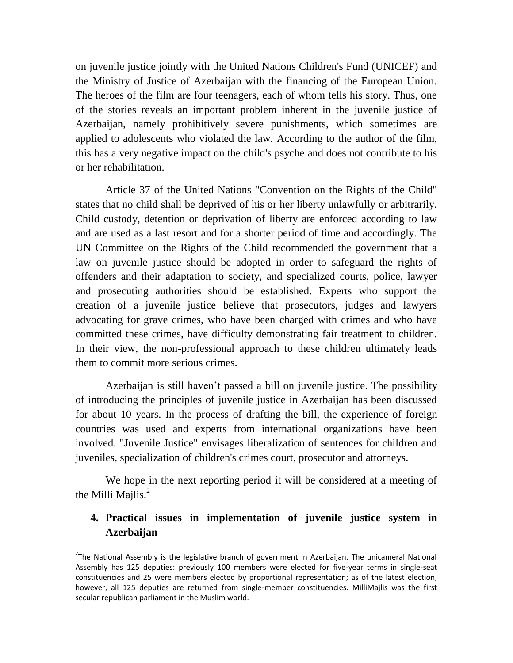on juvenile justice jointly with the United Nations Children's Fund (UNICEF) and the Ministry of Justice of Azerbaijan with the financing of the European Union. The heroes of the film are four teenagers, each of whom tells his story. Thus, one of the stories reveals an important problem inherent in the juvenile justice of Azerbaijan, namely prohibitively severe punishments, which sometimes are applied to adolescents who violated the law. According to the author of the film, this has a very negative impact on the child's psyche and does not contribute to his or her rehabilitation.

Article 37 of the United Nations "Convention on the Rights of the Child" states that no child shall be deprived of his or her liberty unlawfully or arbitrarily. Child custody, detention or deprivation of liberty are enforced according to law and are used as a last resort and for a shorter period of time and accordingly. The UN Committee on the Rights of the Child recommended the government that a law on juvenile justice should be adopted in order to safeguard the rights of offenders and their adaptation to society, and specialized courts, police, lawyer and prosecuting authorities should be established. Experts who support the creation of a juvenile justice believe that prosecutors, judges and lawyers advocating for grave crimes, who have been charged with crimes and who have committed these crimes, have difficulty demonstrating fair treatment to children. In their view, the non-professional approach to these children ultimately leads them to commit more serious crimes.

Azerbaijan is still haven't passed a bill on juvenile justice. The possibility of introducing the principles of juvenile justice in Azerbaijan has been discussed for about 10 years. In the process of drafting the bill, the experience of foreign countries was used and experts from international organizations have been involved. "Juvenile Justice" envisages liberalization of sentences for children and juveniles, specialization of children's crimes court, prosecutor and attorneys.

We hope in the next reporting period it will be considered at a meeting of the Milli Majlis. $<sup>2</sup>$ </sup>

# **4. Practical issues in implementation of juvenile justice system in Azerbaijan**

l

<sup>&</sup>lt;sup>2</sup>The National Assembly is the legislative branch of government in Azerbaijan. The unicameral National Assembly has 125 deputies: previously 100 members were elected for five-year terms in single-seat constituencies and 25 were members elected by proportional representation; as of the latest election, however, all 125 deputies are returned from single-member constituencies. MilliMajlis was the first secular republican parliament in the Muslim world.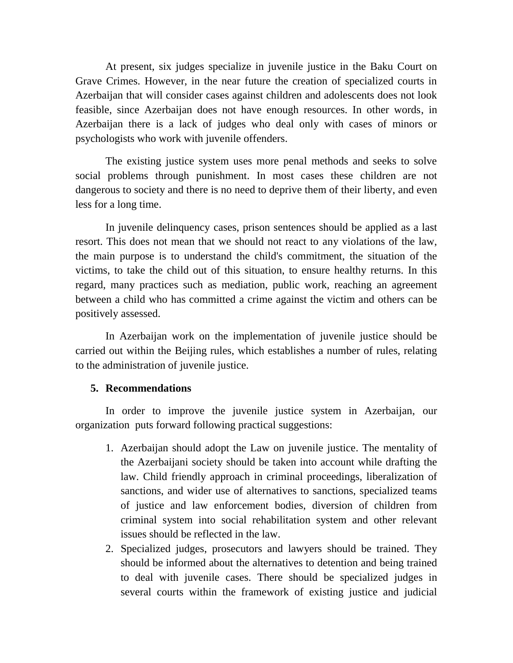At present, six judges specialize in juvenile justice in the Baku Court on Grave Crimes. However, in the near future the creation of specialized courts in Azerbaijan that will consider cases against children and adolescents does not look feasible, since Azerbaijan does not have enough resources. In other words, in Azerbaijan there is a lack of judges who deal only with cases of minors or psychologists who work with juvenile offenders.

The existing justice system uses more penal methods and seeks to solve social problems through punishment. In most cases these children are not dangerous to society and there is no need to deprive them of their liberty, and even less for a long time.

In juvenile delinquency cases, prison sentences should be applied as a last resort. This does not mean that we should not react to any violations of the law, the main purpose is to understand the child's commitment, the situation of the victims, to take the child out of this situation, to ensure healthy returns. In this regard, many practices such as mediation, public work, reaching an agreement between a child who has committed a crime against the victim and others can be positively assessed.

In Azerbaijan work on the implementation of juvenile justice should be carried out within the Beijing rules, which establishes a number of rules, relating to the administration of juvenile justice.

#### **5. Recommendations**

In order to improve the juvenile justice system in Azerbaijan, our organization puts forward following practical suggestions:

- 1. Azerbaijan should adopt the Law on juvenile justice. The mentality of the Azerbaijani society should be taken into account while drafting the law. Child friendly approach in criminal proceedings, liberalization of sanctions, and wider use of alternatives to sanctions, specialized teams of justice and law enforcement bodies, diversion of children from criminal system into social rehabilitation system and other relevant issues should be reflected in the law.
- 2. Specialized judges, prosecutors and lawyers should be trained. They should be informed about the alternatives to detention and being trained to deal with juvenile cases. There should be specialized judges in several courts within the framework of existing justice and judicial